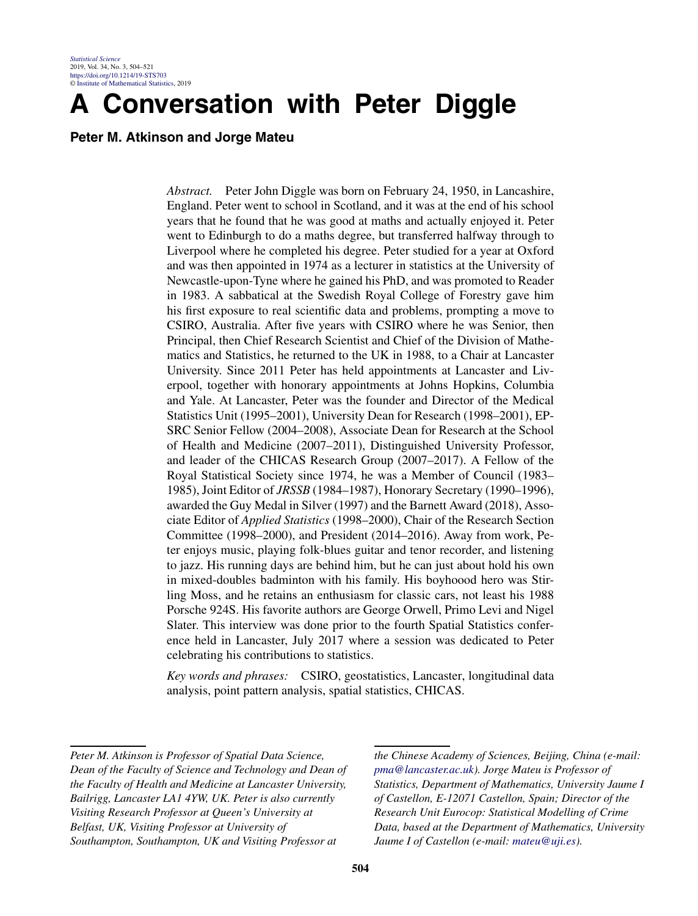# **A Conversation with Peter Diggle**

**Peter M. Atkinson and Jorge Mateu**

*Abstract.* Peter John Diggle was born on February 24, 1950, in Lancashire, England. Peter went to school in Scotland, and it was at the end of his school years that he found that he was good at maths and actually enjoyed it. Peter went to Edinburgh to do a maths degree, but transferred halfway through to Liverpool where he completed his degree. Peter studied for a year at Oxford and was then appointed in 1974 as a lecturer in statistics at the University of Newcastle-upon-Tyne where he gained his PhD, and was promoted to Reader in 1983. A sabbatical at the Swedish Royal College of Forestry gave him his first exposure to real scientific data and problems, prompting a move to CSIRO, Australia. After five years with CSIRO where he was Senior, then Principal, then Chief Research Scientist and Chief of the Division of Mathematics and Statistics, he returned to the UK in 1988, to a Chair at Lancaster University. Since 2011 Peter has held appointments at Lancaster and Liverpool, together with honorary appointments at Johns Hopkins, Columbia and Yale. At Lancaster, Peter was the founder and Director of the Medical Statistics Unit (1995–2001), University Dean for Research (1998–2001), EP-SRC Senior Fellow (2004–2008), Associate Dean for Research at the School of Health and Medicine (2007–2011), Distinguished University Professor, and leader of the CHICAS Research Group (2007–2017). A Fellow of the Royal Statistical Society since 1974, he was a Member of Council (1983– 1985), Joint Editor of *JRSSB* (1984–1987), Honorary Secretary (1990–1996), awarded the Guy Medal in Silver (1997) and the Barnett Award (2018), Associate Editor of *Applied Statistics* (1998–2000), Chair of the Research Section Committee (1998–2000), and President (2014–2016). Away from work, Peter enjoys music, playing folk-blues guitar and tenor recorder, and listening to jazz. His running days are behind him, but he can just about hold his own in mixed-doubles badminton with his family. His boyhoood hero was Stirling Moss, and he retains an enthusiasm for classic cars, not least his 1988 Porsche 924S. His favorite authors are George Orwell, Primo Levi and Nigel Slater. This interview was done prior to the fourth Spatial Statistics conference held in Lancaster, July 2017 where a session was dedicated to Peter celebrating his contributions to statistics.

*Key words and phrases:* CSIRO, geostatistics, Lancaster, longitudinal data analysis, point pattern analysis, spatial statistics, CHICAS.

*the Chinese Academy of Sciences, Beijing, China (e-mail: [pma@lancaster.ac.uk\)](mailto:pma@lancaster.ac.uk). Jorge Mateu is Professor of Statistics, Department of Mathematics, University Jaume I of Castellon, E-12071 Castellon, Spain; Director of the Research Unit Eurocop: Statistical Modelling of Crime Data, based at the Department of Mathematics, University Jaume I of Castellon (e-mail: [mateu@uji.es\)](mailto:mateu@uji.es).*

*Peter M. Atkinson is Professor of Spatial Data Science, Dean of the Faculty of Science and Technology and Dean of the Faculty of Health and Medicine at Lancaster University, Bailrigg, Lancaster LA1 4YW, UK. Peter is also currently Visiting Research Professor at Queen's University at Belfast, UK, Visiting Professor at University of Southampton, Southampton, UK and Visiting Professor at*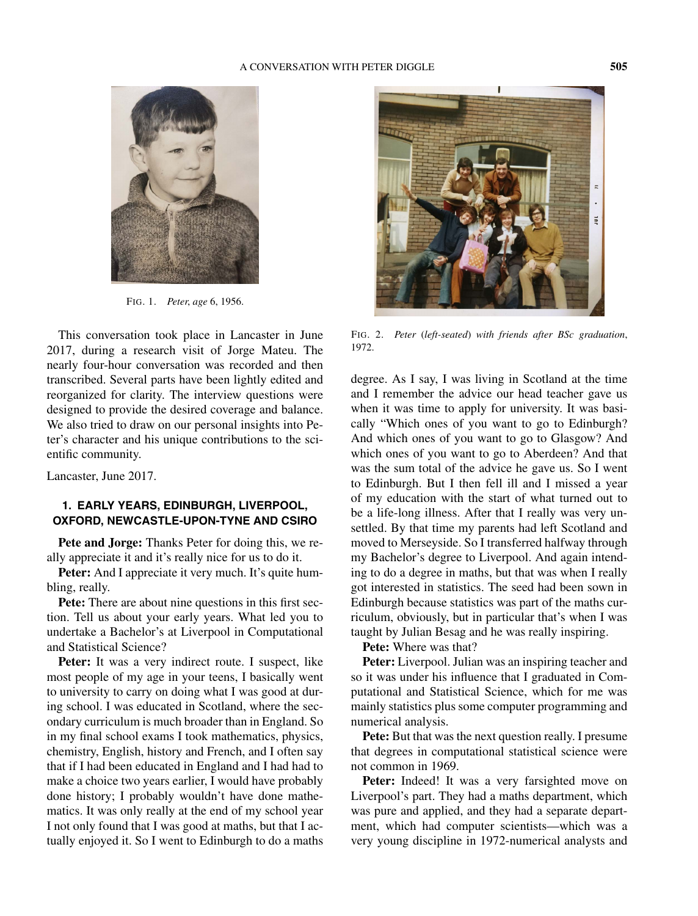

FIG. 1. *Peter*, *age* 6, 1956.

This conversation took place in Lancaster in June 2017, during a research visit of Jorge Mateu. The nearly four-hour conversation was recorded and then transcribed. Several parts have been lightly edited and reorganized for clarity. The interview questions were designed to provide the desired coverage and balance. We also tried to draw on our personal insights into Peter's character and his unique contributions to the scientific community.

Lancaster, June 2017.

## **1. EARLY YEARS, EDINBURGH, LIVERPOOL, OXFORD, NEWCASTLE-UPON-TYNE AND CSIRO**

**Pete and Jorge:** Thanks Peter for doing this, we really appreciate it and it's really nice for us to do it.

Peter: And I appreciate it very much. It's quite humbling, really.

**Pete:** There are about nine questions in this first section. Tell us about your early years. What led you to undertake a Bachelor's at Liverpool in Computational and Statistical Science?

Peter: It was a very indirect route. I suspect, like most people of my age in your teens, I basically went to university to carry on doing what I was good at during school. I was educated in Scotland, where the secondary curriculum is much broader than in England. So in my final school exams I took mathematics, physics, chemistry, English, history and French, and I often say that if I had been educated in England and I had had to make a choice two years earlier, I would have probably done history; I probably wouldn't have done mathematics. It was only really at the end of my school year I not only found that I was good at maths, but that I actually enjoyed it. So I went to Edinburgh to do a maths



FIG. 2. *Peter* (*left-seated*) *with friends after BSc graduation*, 1972.

degree. As I say, I was living in Scotland at the time and I remember the advice our head teacher gave us when it was time to apply for university. It was basically "Which ones of you want to go to Edinburgh? And which ones of you want to go to Glasgow? And which ones of you want to go to Aberdeen? And that was the sum total of the advice he gave us. So I went to Edinburgh. But I then fell ill and I missed a year of my education with the start of what turned out to be a life-long illness. After that I really was very unsettled. By that time my parents had left Scotland and moved to Merseyside. So I transferred halfway through my Bachelor's degree to Liverpool. And again intending to do a degree in maths, but that was when I really got interested in statistics. The seed had been sown in Edinburgh because statistics was part of the maths curriculum, obviously, but in particular that's when I was taught by Julian Besag and he was really inspiring.

**Pete:** Where was that?

**Peter:** Liverpool. Julian was an inspiring teacher and so it was under his influence that I graduated in Computational and Statistical Science, which for me was mainly statistics plus some computer programming and numerical analysis.

**Pete:** But that was the next question really. I presume that degrees in computational statistical science were not common in 1969.

Peter: Indeed! It was a very farsighted move on Liverpool's part. They had a maths department, which was pure and applied, and they had a separate department, which had computer scientists—which was a very young discipline in 1972-numerical analysts and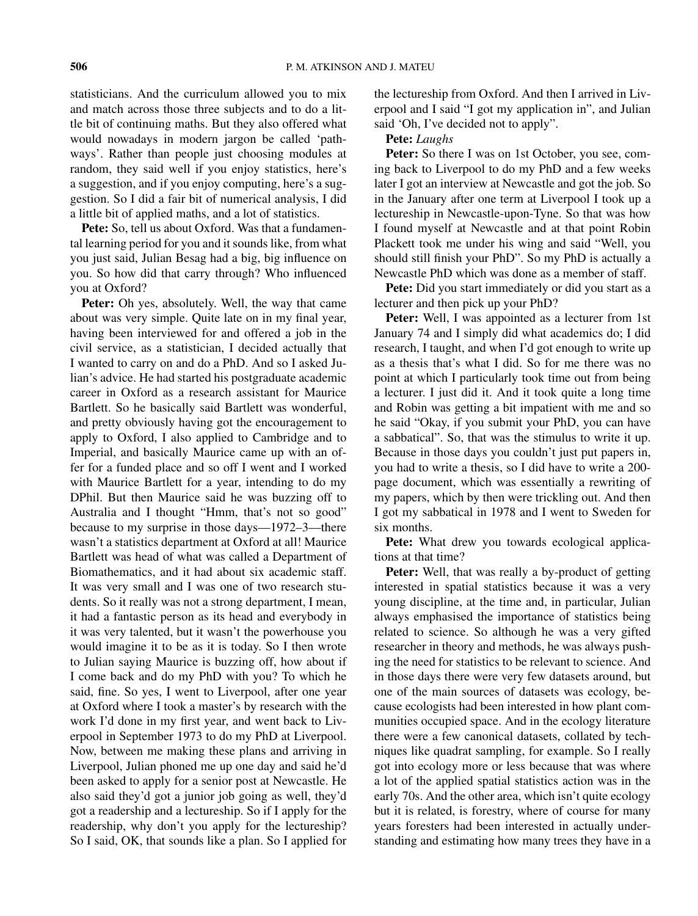statisticians. And the curriculum allowed you to mix and match across those three subjects and to do a little bit of continuing maths. But they also offered what would nowadays in modern jargon be called 'pathways'. Rather than people just choosing modules at random, they said well if you enjoy statistics, here's a suggestion, and if you enjoy computing, here's a suggestion. So I did a fair bit of numerical analysis, I did a little bit of applied maths, and a lot of statistics.

**Pete:** So, tell us about Oxford. Was that a fundamental learning period for you and it sounds like, from what you just said, Julian Besag had a big, big influence on you. So how did that carry through? Who influenced you at Oxford?

**Peter:** Oh yes, absolutely. Well, the way that came about was very simple. Quite late on in my final year, having been interviewed for and offered a job in the civil service, as a statistician, I decided actually that I wanted to carry on and do a PhD. And so I asked Julian's advice. He had started his postgraduate academic career in Oxford as a research assistant for Maurice Bartlett. So he basically said Bartlett was wonderful, and pretty obviously having got the encouragement to apply to Oxford, I also applied to Cambridge and to Imperial, and basically Maurice came up with an offer for a funded place and so off I went and I worked with Maurice Bartlett for a year, intending to do my DPhil. But then Maurice said he was buzzing off to Australia and I thought "Hmm, that's not so good" because to my surprise in those days—1972–3—there wasn't a statistics department at Oxford at all! Maurice Bartlett was head of what was called a Department of Biomathematics, and it had about six academic staff. It was very small and I was one of two research students. So it really was not a strong department, I mean, it had a fantastic person as its head and everybody in it was very talented, but it wasn't the powerhouse you would imagine it to be as it is today. So I then wrote to Julian saying Maurice is buzzing off, how about if I come back and do my PhD with you? To which he said, fine. So yes, I went to Liverpool, after one year at Oxford where I took a master's by research with the work I'd done in my first year, and went back to Liverpool in September 1973 to do my PhD at Liverpool. Now, between me making these plans and arriving in Liverpool, Julian phoned me up one day and said he'd been asked to apply for a senior post at Newcastle. He also said they'd got a junior job going as well, they'd got a readership and a lectureship. So if I apply for the readership, why don't you apply for the lectureship? So I said, OK, that sounds like a plan. So I applied for the lectureship from Oxford. And then I arrived in Liverpool and I said "I got my application in", and Julian said 'Oh, I've decided not to apply".

## **Pete:** *Laughs*

Peter: So there I was on 1st October, you see, coming back to Liverpool to do my PhD and a few weeks later I got an interview at Newcastle and got the job. So in the January after one term at Liverpool I took up a lectureship in Newcastle-upon-Tyne. So that was how I found myself at Newcastle and at that point Robin Plackett took me under his wing and said "Well, you should still finish your PhD". So my PhD is actually a Newcastle PhD which was done as a member of staff.

**Pete:** Did you start immediately or did you start as a lecturer and then pick up your PhD?

**Peter:** Well, I was appointed as a lecturer from 1st January 74 and I simply did what academics do; I did research, I taught, and when I'd got enough to write up as a thesis that's what I did. So for me there was no point at which I particularly took time out from being a lecturer. I just did it. And it took quite a long time and Robin was getting a bit impatient with me and so he said "Okay, if you submit your PhD, you can have a sabbatical". So, that was the stimulus to write it up. Because in those days you couldn't just put papers in, you had to write a thesis, so I did have to write a 200 page document, which was essentially a rewriting of my papers, which by then were trickling out. And then I got my sabbatical in 1978 and I went to Sweden for six months.

**Pete:** What drew you towards ecological applications at that time?

**Peter:** Well, that was really a by-product of getting interested in spatial statistics because it was a very young discipline, at the time and, in particular, Julian always emphasised the importance of statistics being related to science. So although he was a very gifted researcher in theory and methods, he was always pushing the need for statistics to be relevant to science. And in those days there were very few datasets around, but one of the main sources of datasets was ecology, because ecologists had been interested in how plant communities occupied space. And in the ecology literature there were a few canonical datasets, collated by techniques like quadrat sampling, for example. So I really got into ecology more or less because that was where a lot of the applied spatial statistics action was in the early 70s. And the other area, which isn't quite ecology but it is related, is forestry, where of course for many years foresters had been interested in actually understanding and estimating how many trees they have in a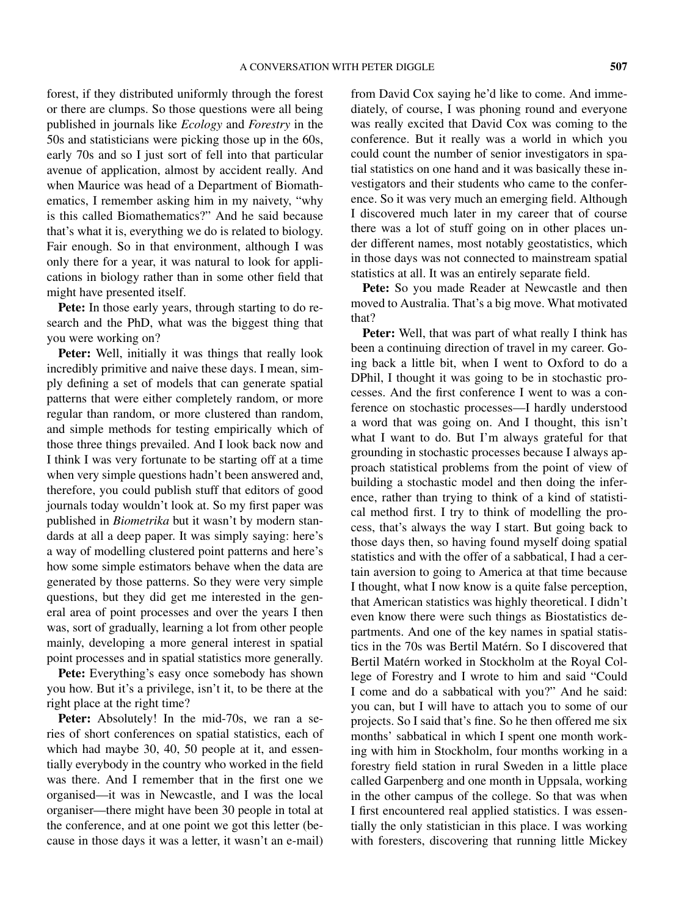forest, if they distributed uniformly through the forest or there are clumps. So those questions were all being published in journals like *Ecology* and *Forestry* in the 50s and statisticians were picking those up in the 60s, early 70s and so I just sort of fell into that particular avenue of application, almost by accident really. And when Maurice was head of a Department of Biomathematics, I remember asking him in my naivety, "why is this called Biomathematics?" And he said because that's what it is, everything we do is related to biology. Fair enough. So in that environment, although I was only there for a year, it was natural to look for applications in biology rather than in some other field that might have presented itself.

**Pete:** In those early years, through starting to do research and the PhD, what was the biggest thing that you were working on?

**Peter:** Well, initially it was things that really look incredibly primitive and naive these days. I mean, simply defining a set of models that can generate spatial patterns that were either completely random, or more regular than random, or more clustered than random, and simple methods for testing empirically which of those three things prevailed. And I look back now and I think I was very fortunate to be starting off at a time when very simple questions hadn't been answered and, therefore, you could publish stuff that editors of good journals today wouldn't look at. So my first paper was published in *Biometrika* but it wasn't by modern standards at all a deep paper. It was simply saying: here's a way of modelling clustered point patterns and here's how some simple estimators behave when the data are generated by those patterns. So they were very simple questions, but they did get me interested in the general area of point processes and over the years I then was, sort of gradually, learning a lot from other people mainly, developing a more general interest in spatial point processes and in spatial statistics more generally.

**Pete:** Everything's easy once somebody has shown you how. But it's a privilege, isn't it, to be there at the right place at the right time?

**Peter:** Absolutely! In the mid-70s, we ran a series of short conferences on spatial statistics, each of which had maybe 30, 40, 50 people at it, and essentially everybody in the country who worked in the field was there. And I remember that in the first one we organised—it was in Newcastle, and I was the local organiser—there might have been 30 people in total at the conference, and at one point we got this letter (because in those days it was a letter, it wasn't an e-mail) from David Cox saying he'd like to come. And immediately, of course, I was phoning round and everyone was really excited that David Cox was coming to the conference. But it really was a world in which you could count the number of senior investigators in spatial statistics on one hand and it was basically these investigators and their students who came to the conference. So it was very much an emerging field. Although I discovered much later in my career that of course there was a lot of stuff going on in other places under different names, most notably geostatistics, which in those days was not connected to mainstream spatial statistics at all. It was an entirely separate field.

**Pete:** So you made Reader at Newcastle and then moved to Australia. That's a big move. What motivated that?

**Peter:** Well, that was part of what really I think has been a continuing direction of travel in my career. Going back a little bit, when I went to Oxford to do a DPhil, I thought it was going to be in stochastic processes. And the first conference I went to was a conference on stochastic processes—I hardly understood a word that was going on. And I thought, this isn't what I want to do. But I'm always grateful for that grounding in stochastic processes because I always approach statistical problems from the point of view of building a stochastic model and then doing the inference, rather than trying to think of a kind of statistical method first. I try to think of modelling the process, that's always the way I start. But going back to those days then, so having found myself doing spatial statistics and with the offer of a sabbatical, I had a certain aversion to going to America at that time because I thought, what I now know is a quite false perception, that American statistics was highly theoretical. I didn't even know there were such things as Biostatistics departments. And one of the key names in spatial statistics in the 70s was Bertil Matérn. So I discovered that Bertil Matérn worked in Stockholm at the Royal College of Forestry and I wrote to him and said "Could I come and do a sabbatical with you?" And he said: you can, but I will have to attach you to some of our projects. So I said that's fine. So he then offered me six months' sabbatical in which I spent one month working with him in Stockholm, four months working in a forestry field station in rural Sweden in a little place called Garpenberg and one month in Uppsala, working in the other campus of the college. So that was when I first encountered real applied statistics. I was essentially the only statistician in this place. I was working with foresters, discovering that running little Mickey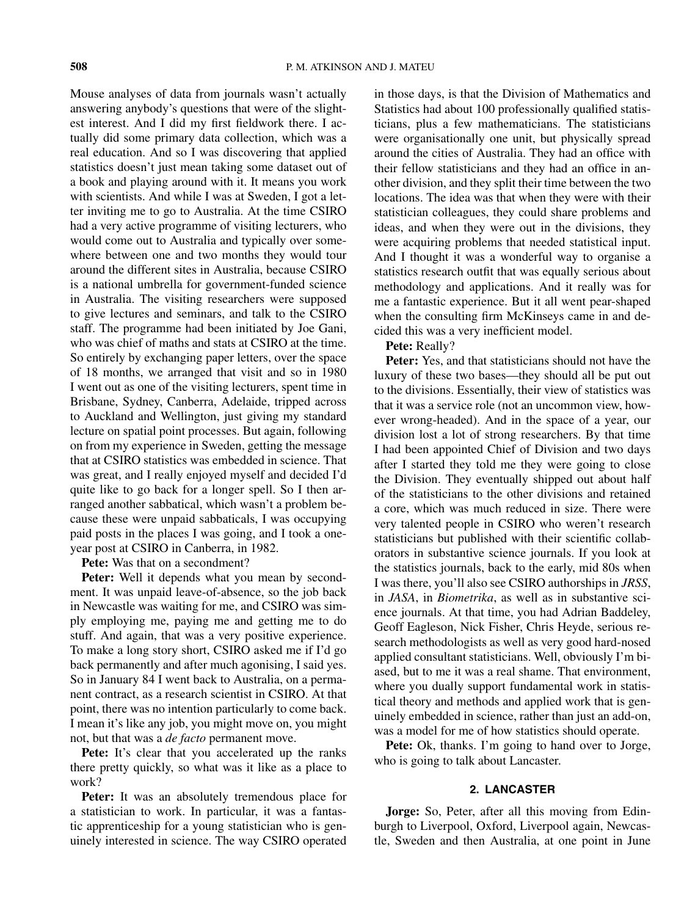Mouse analyses of data from journals wasn't actually answering anybody's questions that were of the slightest interest. And I did my first fieldwork there. I actually did some primary data collection, which was a real education. And so I was discovering that applied statistics doesn't just mean taking some dataset out of a book and playing around with it. It means you work with scientists. And while I was at Sweden, I got a letter inviting me to go to Australia. At the time CSIRO had a very active programme of visiting lecturers, who would come out to Australia and typically over somewhere between one and two months they would tour around the different sites in Australia, because CSIRO is a national umbrella for government-funded science in Australia. The visiting researchers were supposed to give lectures and seminars, and talk to the CSIRO staff. The programme had been initiated by Joe Gani, who was chief of maths and stats at CSIRO at the time. So entirely by exchanging paper letters, over the space of 18 months, we arranged that visit and so in 1980 I went out as one of the visiting lecturers, spent time in Brisbane, Sydney, Canberra, Adelaide, tripped across to Auckland and Wellington, just giving my standard lecture on spatial point processes. But again, following on from my experience in Sweden, getting the message that at CSIRO statistics was embedded in science. That was great, and I really enjoyed myself and decided I'd quite like to go back for a longer spell. So I then arranged another sabbatical, which wasn't a problem because these were unpaid sabbaticals, I was occupying paid posts in the places I was going, and I took a oneyear post at CSIRO in Canberra, in 1982.

**Pete:** Was that on a secondment?

**Peter:** Well it depends what you mean by secondment. It was unpaid leave-of-absence, so the job back in Newcastle was waiting for me, and CSIRO was simply employing me, paying me and getting me to do stuff. And again, that was a very positive experience. To make a long story short, CSIRO asked me if I'd go back permanently and after much agonising, I said yes. So in January 84 I went back to Australia, on a permanent contract, as a research scientist in CSIRO. At that point, there was no intention particularly to come back. I mean it's like any job, you might move on, you might not, but that was a *de facto* permanent move.

Pete: It's clear that you accelerated up the ranks there pretty quickly, so what was it like as a place to work?

**Peter:** It was an absolutely tremendous place for a statistician to work. In particular, it was a fantastic apprenticeship for a young statistician who is genuinely interested in science. The way CSIRO operated in those days, is that the Division of Mathematics and Statistics had about 100 professionally qualified statisticians, plus a few mathematicians. The statisticians were organisationally one unit, but physically spread around the cities of Australia. They had an office with their fellow statisticians and they had an office in another division, and they split their time between the two locations. The idea was that when they were with their statistician colleagues, they could share problems and ideas, and when they were out in the divisions, they were acquiring problems that needed statistical input. And I thought it was a wonderful way to organise a statistics research outfit that was equally serious about methodology and applications. And it really was for me a fantastic experience. But it all went pear-shaped when the consulting firm McKinseys came in and decided this was a very inefficient model.

#### **Pete:** Really?

**Peter:** Yes, and that statisticians should not have the luxury of these two bases—they should all be put out to the divisions. Essentially, their view of statistics was that it was a service role (not an uncommon view, however wrong-headed). And in the space of a year, our division lost a lot of strong researchers. By that time I had been appointed Chief of Division and two days after I started they told me they were going to close the Division. They eventually shipped out about half of the statisticians to the other divisions and retained a core, which was much reduced in size. There were very talented people in CSIRO who weren't research statisticians but published with their scientific collaborators in substantive science journals. If you look at the statistics journals, back to the early, mid 80s when I was there, you'll also see CSIRO authorships in *JRSS*, in *JASA*, in *Biometrika*, as well as in substantive science journals. At that time, you had Adrian Baddeley, Geoff Eagleson, Nick Fisher, Chris Heyde, serious research methodologists as well as very good hard-nosed applied consultant statisticians. Well, obviously I'm biased, but to me it was a real shame. That environment, where you dually support fundamental work in statistical theory and methods and applied work that is genuinely embedded in science, rather than just an add-on, was a model for me of how statistics should operate.

**Pete:** Ok, thanks. I'm going to hand over to Jorge, who is going to talk about Lancaster.

### **2. LANCASTER**

**Jorge:** So, Peter, after all this moving from Edinburgh to Liverpool, Oxford, Liverpool again, Newcastle, Sweden and then Australia, at one point in June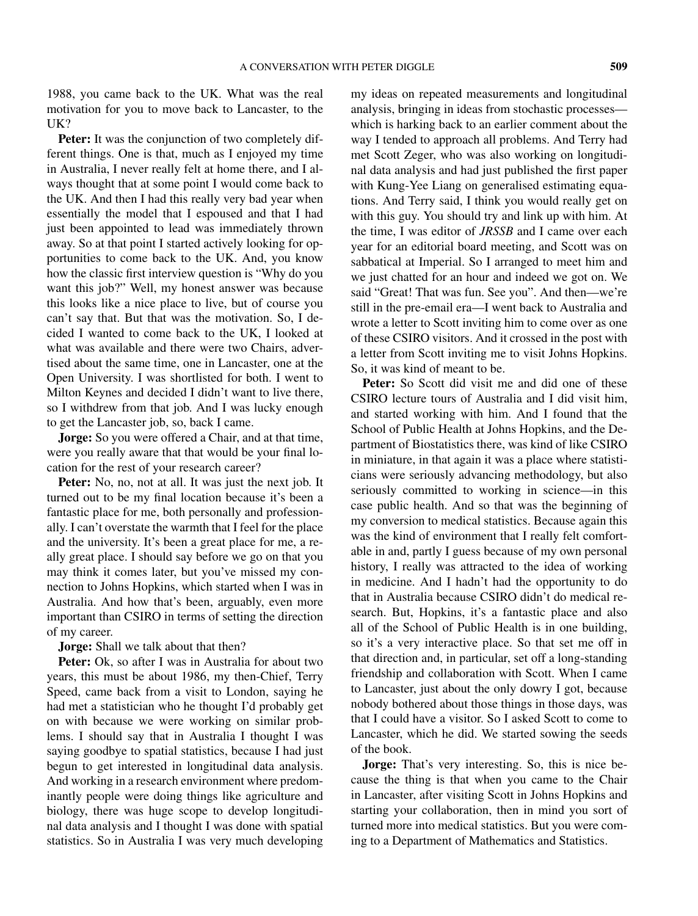1988, you came back to the UK. What was the real motivation for you to move back to Lancaster, to the UK?

**Peter:** It was the conjunction of two completely different things. One is that, much as I enjoyed my time in Australia, I never really felt at home there, and I always thought that at some point I would come back to the UK. And then I had this really very bad year when essentially the model that I espoused and that I had just been appointed to lead was immediately thrown away. So at that point I started actively looking for opportunities to come back to the UK. And, you know how the classic first interview question is "Why do you want this job?" Well, my honest answer was because this looks like a nice place to live, but of course you can't say that. But that was the motivation. So, I decided I wanted to come back to the UK, I looked at what was available and there were two Chairs, advertised about the same time, one in Lancaster, one at the Open University. I was shortlisted for both. I went to Milton Keynes and decided I didn't want to live there, so I withdrew from that job. And I was lucky enough to get the Lancaster job, so, back I came.

**Jorge:** So you were offered a Chair, and at that time, were you really aware that that would be your final location for the rest of your research career?

**Peter:** No, no, not at all. It was just the next job. It turned out to be my final location because it's been a fantastic place for me, both personally and professionally. I can't overstate the warmth that I feel for the place and the university. It's been a great place for me, a really great place. I should say before we go on that you may think it comes later, but you've missed my connection to Johns Hopkins, which started when I was in Australia. And how that's been, arguably, even more important than CSIRO in terms of setting the direction of my career.

**Jorge:** Shall we talk about that then?

Peter: Ok, so after I was in Australia for about two years, this must be about 1986, my then-Chief, Terry Speed, came back from a visit to London, saying he had met a statistician who he thought I'd probably get on with because we were working on similar problems. I should say that in Australia I thought I was saying goodbye to spatial statistics, because I had just begun to get interested in longitudinal data analysis. And working in a research environment where predominantly people were doing things like agriculture and biology, there was huge scope to develop longitudinal data analysis and I thought I was done with spatial statistics. So in Australia I was very much developing

my ideas on repeated measurements and longitudinal analysis, bringing in ideas from stochastic processes which is harking back to an earlier comment about the way I tended to approach all problems. And Terry had met Scott Zeger, who was also working on longitudinal data analysis and had just published the first paper with Kung-Yee Liang on generalised estimating equations. And Terry said, I think you would really get on with this guy. You should try and link up with him. At the time, I was editor of *JRSSB* and I came over each year for an editorial board meeting, and Scott was on sabbatical at Imperial. So I arranged to meet him and we just chatted for an hour and indeed we got on. We said "Great! That was fun. See you". And then—we're still in the pre-email era—I went back to Australia and wrote a letter to Scott inviting him to come over as one of these CSIRO visitors. And it crossed in the post with a letter from Scott inviting me to visit Johns Hopkins. So, it was kind of meant to be.

**Peter:** So Scott did visit me and did one of these CSIRO lecture tours of Australia and I did visit him, and started working with him. And I found that the School of Public Health at Johns Hopkins, and the Department of Biostatistics there, was kind of like CSIRO in miniature, in that again it was a place where statisticians were seriously advancing methodology, but also seriously committed to working in science—in this case public health. And so that was the beginning of my conversion to medical statistics. Because again this was the kind of environment that I really felt comfortable in and, partly I guess because of my own personal history, I really was attracted to the idea of working in medicine. And I hadn't had the opportunity to do that in Australia because CSIRO didn't do medical research. But, Hopkins, it's a fantastic place and also all of the School of Public Health is in one building, so it's a very interactive place. So that set me off in that direction and, in particular, set off a long-standing friendship and collaboration with Scott. When I came to Lancaster, just about the only dowry I got, because nobody bothered about those things in those days, was that I could have a visitor. So I asked Scott to come to Lancaster, which he did. We started sowing the seeds of the book.

**Jorge:** That's very interesting. So, this is nice because the thing is that when you came to the Chair in Lancaster, after visiting Scott in Johns Hopkins and starting your collaboration, then in mind you sort of turned more into medical statistics. But you were coming to a Department of Mathematics and Statistics.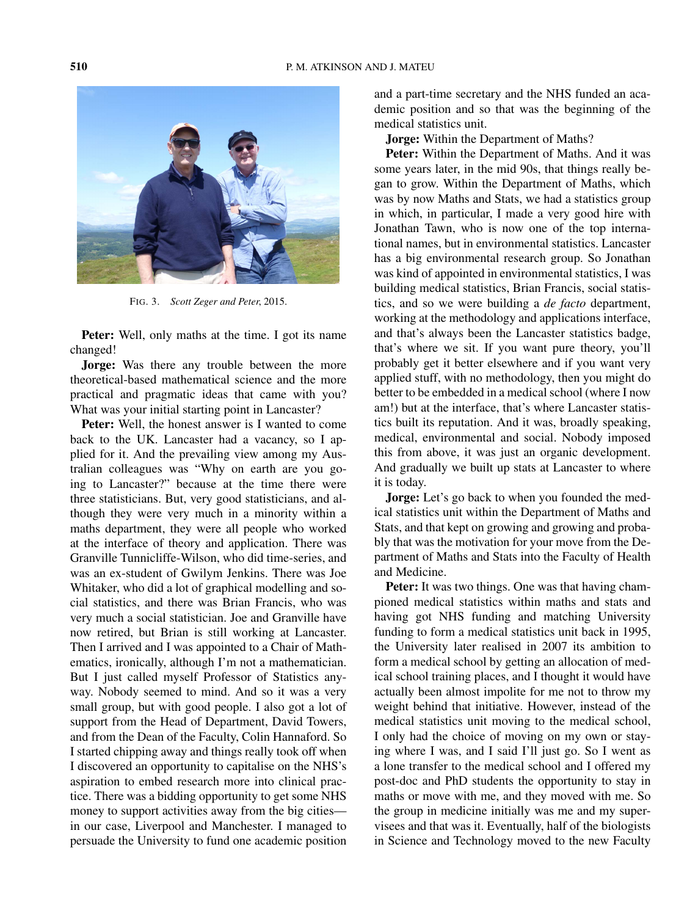

FIG. 3. *Scott Zeger and Peter*, 2015.

**Peter:** Well, only maths at the time. I got its name changed!

**Jorge:** Was there any trouble between the more theoretical-based mathematical science and the more practical and pragmatic ideas that came with you? What was your initial starting point in Lancaster?

**Peter:** Well, the honest answer is I wanted to come back to the UK. Lancaster had a vacancy, so I applied for it. And the prevailing view among my Australian colleagues was "Why on earth are you going to Lancaster?" because at the time there were three statisticians. But, very good statisticians, and although they were very much in a minority within a maths department, they were all people who worked at the interface of theory and application. There was Granville Tunnicliffe-Wilson, who did time-series, and was an ex-student of Gwilym Jenkins. There was Joe Whitaker, who did a lot of graphical modelling and social statistics, and there was Brian Francis, who was very much a social statistician. Joe and Granville have now retired, but Brian is still working at Lancaster. Then I arrived and I was appointed to a Chair of Mathematics, ironically, although I'm not a mathematician. But I just called myself Professor of Statistics anyway. Nobody seemed to mind. And so it was a very small group, but with good people. I also got a lot of support from the Head of Department, David Towers, and from the Dean of the Faculty, Colin Hannaford. So I started chipping away and things really took off when I discovered an opportunity to capitalise on the NHS's aspiration to embed research more into clinical practice. There was a bidding opportunity to get some NHS money to support activities away from the big cities in our case, Liverpool and Manchester. I managed to persuade the University to fund one academic position and a part-time secretary and the NHS funded an academic position and so that was the beginning of the medical statistics unit.

**Jorge:** Within the Department of Maths?

**Peter:** Within the Department of Maths. And it was some years later, in the mid 90s, that things really began to grow. Within the Department of Maths, which was by now Maths and Stats, we had a statistics group in which, in particular, I made a very good hire with Jonathan Tawn, who is now one of the top international names, but in environmental statistics. Lancaster has a big environmental research group. So Jonathan was kind of appointed in environmental statistics, I was building medical statistics, Brian Francis, social statistics, and so we were building a *de facto* department, working at the methodology and applications interface, and that's always been the Lancaster statistics badge, that's where we sit. If you want pure theory, you'll probably get it better elsewhere and if you want very applied stuff, with no methodology, then you might do better to be embedded in a medical school (where I now am!) but at the interface, that's where Lancaster statistics built its reputation. And it was, broadly speaking, medical, environmental and social. Nobody imposed this from above, it was just an organic development. And gradually we built up stats at Lancaster to where it is today.

**Jorge:** Let's go back to when you founded the medical statistics unit within the Department of Maths and Stats, and that kept on growing and growing and probably that was the motivation for your move from the Department of Maths and Stats into the Faculty of Health and Medicine.

**Peter:** It was two things. One was that having championed medical statistics within maths and stats and having got NHS funding and matching University funding to form a medical statistics unit back in 1995, the University later realised in 2007 its ambition to form a medical school by getting an allocation of medical school training places, and I thought it would have actually been almost impolite for me not to throw my weight behind that initiative. However, instead of the medical statistics unit moving to the medical school, I only had the choice of moving on my own or staying where I was, and I said I'll just go. So I went as a lone transfer to the medical school and I offered my post-doc and PhD students the opportunity to stay in maths or move with me, and they moved with me. So the group in medicine initially was me and my supervisees and that was it. Eventually, half of the biologists in Science and Technology moved to the new Faculty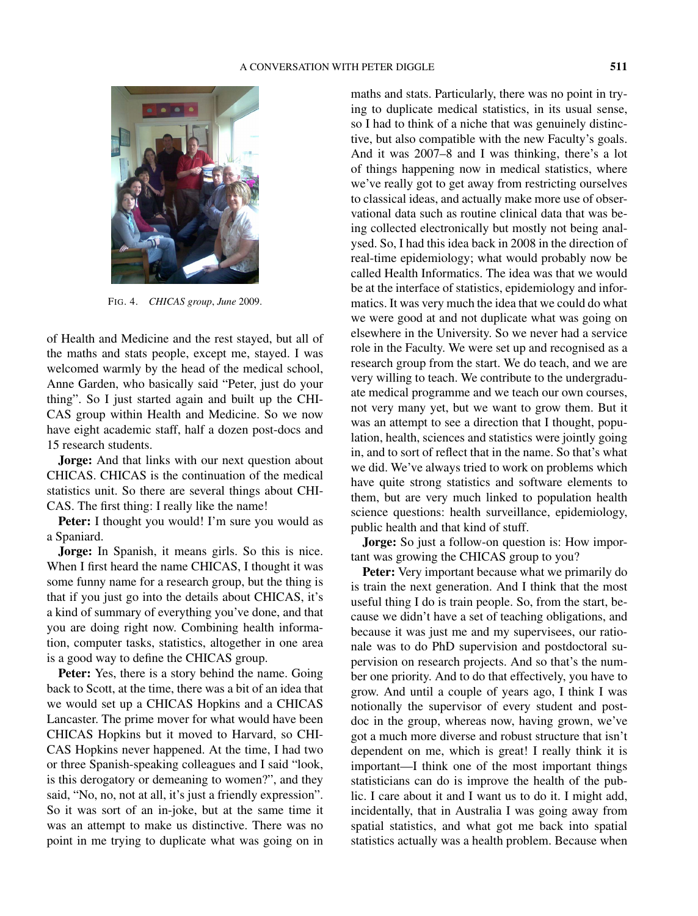

FIG. 4. *CHICAS group*, *June* 2009.

of Health and Medicine and the rest stayed, but all of the maths and stats people, except me, stayed. I was welcomed warmly by the head of the medical school, Anne Garden, who basically said "Peter, just do your thing". So I just started again and built up the CHI-CAS group within Health and Medicine. So we now have eight academic staff, half a dozen post-docs and 15 research students.

**Jorge:** And that links with our next question about CHICAS. CHICAS is the continuation of the medical statistics unit. So there are several things about CHI-CAS. The first thing: I really like the name!

Peter: I thought you would! I'm sure you would as a Spaniard.

**Jorge:** In Spanish, it means girls. So this is nice. When I first heard the name CHICAS, I thought it was some funny name for a research group, but the thing is that if you just go into the details about CHICAS, it's a kind of summary of everything you've done, and that you are doing right now. Combining health information, computer tasks, statistics, altogether in one area is a good way to define the CHICAS group.

Peter: Yes, there is a story behind the name. Going back to Scott, at the time, there was a bit of an idea that we would set up a CHICAS Hopkins and a CHICAS Lancaster. The prime mover for what would have been CHICAS Hopkins but it moved to Harvard, so CHI-CAS Hopkins never happened. At the time, I had two or three Spanish-speaking colleagues and I said "look, is this derogatory or demeaning to women?", and they said, "No, no, not at all, it's just a friendly expression". So it was sort of an in-joke, but at the same time it was an attempt to make us distinctive. There was no point in me trying to duplicate what was going on in maths and stats. Particularly, there was no point in trying to duplicate medical statistics, in its usual sense, so I had to think of a niche that was genuinely distinctive, but also compatible with the new Faculty's goals. And it was 2007–8 and I was thinking, there's a lot of things happening now in medical statistics, where we've really got to get away from restricting ourselves to classical ideas, and actually make more use of observational data such as routine clinical data that was being collected electronically but mostly not being analysed. So, I had this idea back in 2008 in the direction of real-time epidemiology; what would probably now be called Health Informatics. The idea was that we would be at the interface of statistics, epidemiology and informatics. It was very much the idea that we could do what we were good at and not duplicate what was going on elsewhere in the University. So we never had a service role in the Faculty. We were set up and recognised as a research group from the start. We do teach, and we are very willing to teach. We contribute to the undergraduate medical programme and we teach our own courses, not very many yet, but we want to grow them. But it was an attempt to see a direction that I thought, population, health, sciences and statistics were jointly going in, and to sort of reflect that in the name. So that's what we did. We've always tried to work on problems which have quite strong statistics and software elements to them, but are very much linked to population health science questions: health surveillance, epidemiology, public health and that kind of stuff.

**Jorge:** So just a follow-on question is: How important was growing the CHICAS group to you?

**Peter:** Very important because what we primarily do is train the next generation. And I think that the most useful thing I do is train people. So, from the start, because we didn't have a set of teaching obligations, and because it was just me and my supervisees, our rationale was to do PhD supervision and postdoctoral supervision on research projects. And so that's the number one priority. And to do that effectively, you have to grow. And until a couple of years ago, I think I was notionally the supervisor of every student and postdoc in the group, whereas now, having grown, we've got a much more diverse and robust structure that isn't dependent on me, which is great! I really think it is important—I think one of the most important things statisticians can do is improve the health of the public. I care about it and I want us to do it. I might add, incidentally, that in Australia I was going away from spatial statistics, and what got me back into spatial statistics actually was a health problem. Because when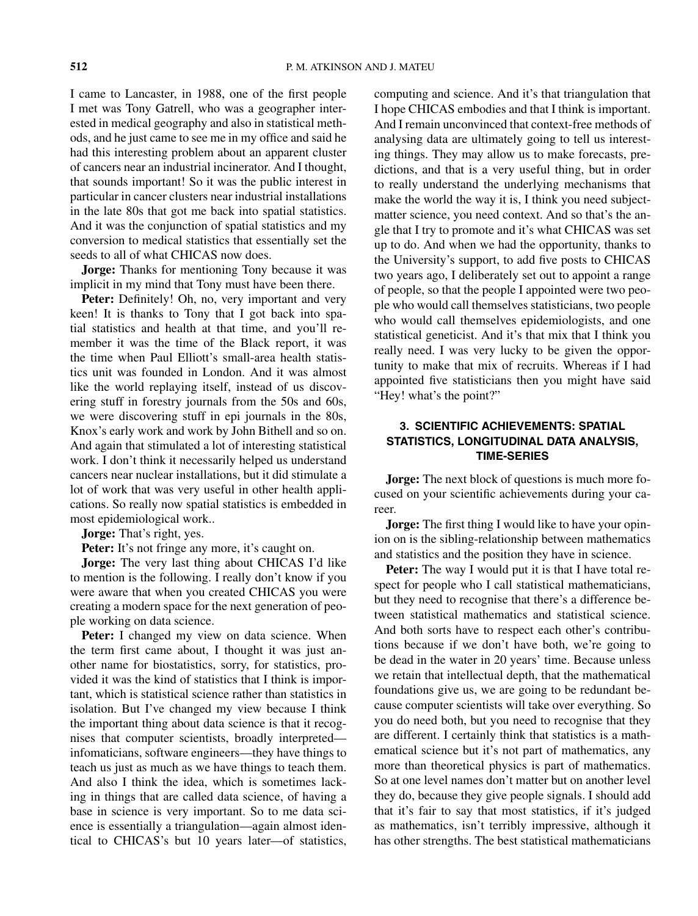I came to Lancaster, in 1988, one of the first people I met was Tony Gatrell, who was a geographer interested in medical geography and also in statistical methods, and he just came to see me in my office and said he had this interesting problem about an apparent cluster of cancers near an industrial incinerator. And I thought, that sounds important! So it was the public interest in particular in cancer clusters near industrial installations in the late 80s that got me back into spatial statistics. And it was the conjunction of spatial statistics and my conversion to medical statistics that essentially set the seeds to all of what CHICAS now does.

**Jorge:** Thanks for mentioning Tony because it was implicit in my mind that Tony must have been there.

Peter: Definitely! Oh, no, very important and very keen! It is thanks to Tony that I got back into spatial statistics and health at that time, and you'll remember it was the time of the Black report, it was the time when Paul Elliott's small-area health statistics unit was founded in London. And it was almost like the world replaying itself, instead of us discovering stuff in forestry journals from the 50s and 60s, we were discovering stuff in epi journals in the 80s, Knox's early work and work by John Bithell and so on. And again that stimulated a lot of interesting statistical work. I don't think it necessarily helped us understand cancers near nuclear installations, but it did stimulate a lot of work that was very useful in other health applications. So really now spatial statistics is embedded in most epidemiological work..

**Jorge:** That's right, yes.

Peter: It's not fringe any more, it's caught on.

**Jorge:** The very last thing about CHICAS I'd like to mention is the following. I really don't know if you were aware that when you created CHICAS you were creating a modern space for the next generation of people working on data science.

Peter: I changed my view on data science. When the term first came about, I thought it was just another name for biostatistics, sorry, for statistics, provided it was the kind of statistics that I think is important, which is statistical science rather than statistics in isolation. But I've changed my view because I think the important thing about data science is that it recognises that computer scientists, broadly interpreted infomaticians, software engineers—they have things to teach us just as much as we have things to teach them. And also I think the idea, which is sometimes lacking in things that are called data science, of having a base in science is very important. So to me data science is essentially a triangulation—again almost identical to CHICAS's but 10 years later—of statistics, computing and science. And it's that triangulation that I hope CHICAS embodies and that I think is important. And I remain unconvinced that context-free methods of analysing data are ultimately going to tell us interesting things. They may allow us to make forecasts, predictions, and that is a very useful thing, but in order to really understand the underlying mechanisms that make the world the way it is, I think you need subjectmatter science, you need context. And so that's the angle that I try to promote and it's what CHICAS was set up to do. And when we had the opportunity, thanks to the University's support, to add five posts to CHICAS two years ago, I deliberately set out to appoint a range of people, so that the people I appointed were two people who would call themselves statisticians, two people who would call themselves epidemiologists, and one statistical geneticist. And it's that mix that I think you really need. I was very lucky to be given the opportunity to make that mix of recruits. Whereas if I had appointed five statisticians then you might have said "Hey! what's the point?"

# **3. SCIENTIFIC ACHIEVEMENTS: SPATIAL STATISTICS, LONGITUDINAL DATA ANALYSIS, TIME-SERIES**

**Jorge:** The next block of questions is much more focused on your scientific achievements during your career.

**Jorge:** The first thing I would like to have your opinion on is the sibling-relationship between mathematics and statistics and the position they have in science.

**Peter:** The way I would put it is that I have total respect for people who I call statistical mathematicians, but they need to recognise that there's a difference between statistical mathematics and statistical science. And both sorts have to respect each other's contributions because if we don't have both, we're going to be dead in the water in 20 years' time. Because unless we retain that intellectual depth, that the mathematical foundations give us, we are going to be redundant because computer scientists will take over everything. So you do need both, but you need to recognise that they are different. I certainly think that statistics is a mathematical science but it's not part of mathematics, any more than theoretical physics is part of mathematics. So at one level names don't matter but on another level they do, because they give people signals. I should add that it's fair to say that most statistics, if it's judged as mathematics, isn't terribly impressive, although it has other strengths. The best statistical mathematicians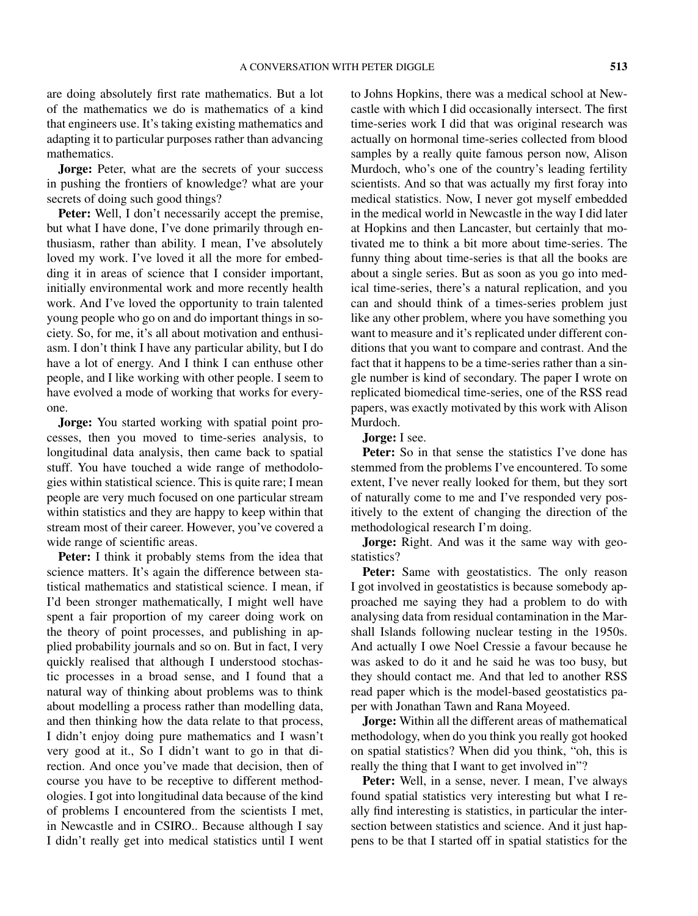are doing absolutely first rate mathematics. But a lot of the mathematics we do is mathematics of a kind that engineers use. It's taking existing mathematics and adapting it to particular purposes rather than advancing mathematics.

**Jorge:** Peter, what are the secrets of your success in pushing the frontiers of knowledge? what are your secrets of doing such good things?

**Peter:** Well, I don't necessarily accept the premise, but what I have done, I've done primarily through enthusiasm, rather than ability. I mean, I've absolutely loved my work. I've loved it all the more for embedding it in areas of science that I consider important, initially environmental work and more recently health work. And I've loved the opportunity to train talented young people who go on and do important things in society. So, for me, it's all about motivation and enthusiasm. I don't think I have any particular ability, but I do have a lot of energy. And I think I can enthuse other people, and I like working with other people. I seem to have evolved a mode of working that works for everyone.

**Jorge:** You started working with spatial point processes, then you moved to time-series analysis, to longitudinal data analysis, then came back to spatial stuff. You have touched a wide range of methodologies within statistical science. This is quite rare; I mean people are very much focused on one particular stream within statistics and they are happy to keep within that stream most of their career. However, you've covered a wide range of scientific areas.

**Peter:** I think it probably stems from the idea that science matters. It's again the difference between statistical mathematics and statistical science. I mean, if I'd been stronger mathematically, I might well have spent a fair proportion of my career doing work on the theory of point processes, and publishing in applied probability journals and so on. But in fact, I very quickly realised that although I understood stochastic processes in a broad sense, and I found that a natural way of thinking about problems was to think about modelling a process rather than modelling data, and then thinking how the data relate to that process, I didn't enjoy doing pure mathematics and I wasn't very good at it., So I didn't want to go in that direction. And once you've made that decision, then of course you have to be receptive to different methodologies. I got into longitudinal data because of the kind of problems I encountered from the scientists I met, in Newcastle and in CSIRO.. Because although I say I didn't really get into medical statistics until I went to Johns Hopkins, there was a medical school at Newcastle with which I did occasionally intersect. The first time-series work I did that was original research was actually on hormonal time-series collected from blood samples by a really quite famous person now, Alison Murdoch, who's one of the country's leading fertility scientists. And so that was actually my first foray into medical statistics. Now, I never got myself embedded in the medical world in Newcastle in the way I did later at Hopkins and then Lancaster, but certainly that motivated me to think a bit more about time-series. The funny thing about time-series is that all the books are about a single series. But as soon as you go into medical time-series, there's a natural replication, and you can and should think of a times-series problem just like any other problem, where you have something you want to measure and it's replicated under different conditions that you want to compare and contrast. And the fact that it happens to be a time-series rather than a single number is kind of secondary. The paper I wrote on replicated biomedical time-series, one of the RSS read papers, was exactly motivated by this work with Alison Murdoch.

**Jorge:** I see.

**Peter:** So in that sense the statistics I've done has stemmed from the problems I've encountered. To some extent, I've never really looked for them, but they sort of naturally come to me and I've responded very positively to the extent of changing the direction of the methodological research I'm doing.

**Jorge:** Right. And was it the same way with geostatistics?

Peter: Same with geostatistics. The only reason I got involved in geostatistics is because somebody approached me saying they had a problem to do with analysing data from residual contamination in the Marshall Islands following nuclear testing in the 1950s. And actually I owe Noel Cressie a favour because he was asked to do it and he said he was too busy, but they should contact me. And that led to another RSS read paper which is the model-based geostatistics paper with Jonathan Tawn and Rana Moyeed.

**Jorge:** Within all the different areas of mathematical methodology, when do you think you really got hooked on spatial statistics? When did you think, "oh, this is really the thing that I want to get involved in"?

Peter: Well, in a sense, never. I mean, I've always found spatial statistics very interesting but what I really find interesting is statistics, in particular the intersection between statistics and science. And it just happens to be that I started off in spatial statistics for the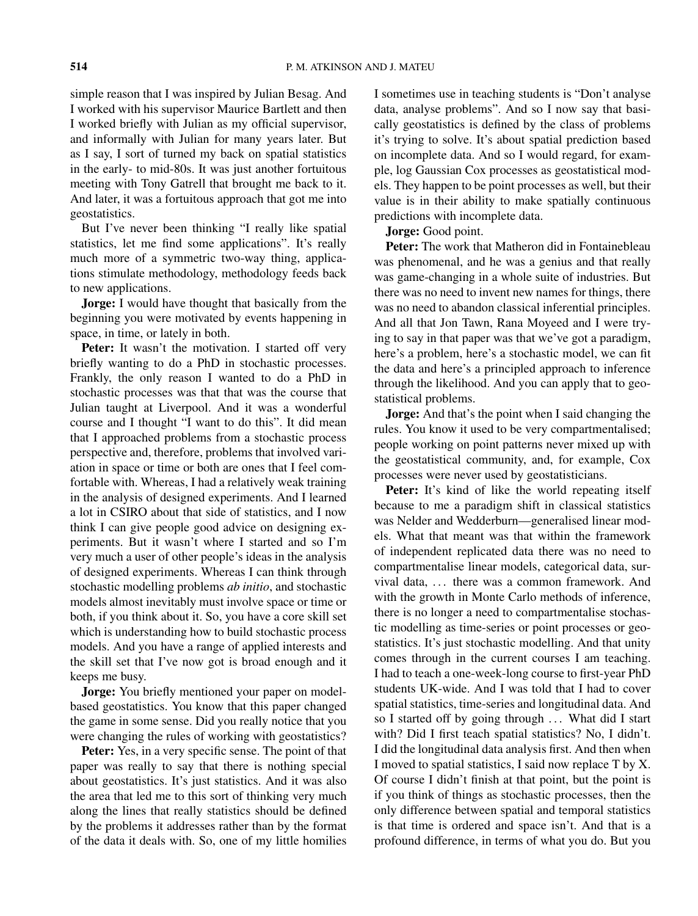simple reason that I was inspired by Julian Besag. And I worked with his supervisor Maurice Bartlett and then I worked briefly with Julian as my official supervisor, and informally with Julian for many years later. But as I say, I sort of turned my back on spatial statistics in the early- to mid-80s. It was just another fortuitous meeting with Tony Gatrell that brought me back to it. And later, it was a fortuitous approach that got me into geostatistics.

But I've never been thinking "I really like spatial statistics, let me find some applications". It's really much more of a symmetric two-way thing, applications stimulate methodology, methodology feeds back to new applications.

**Jorge:** I would have thought that basically from the beginning you were motivated by events happening in space, in time, or lately in both.

Peter: It wasn't the motivation. I started off very briefly wanting to do a PhD in stochastic processes. Frankly, the only reason I wanted to do a PhD in stochastic processes was that that was the course that Julian taught at Liverpool. And it was a wonderful course and I thought "I want to do this". It did mean that I approached problems from a stochastic process perspective and, therefore, problems that involved variation in space or time or both are ones that I feel comfortable with. Whereas, I had a relatively weak training in the analysis of designed experiments. And I learned a lot in CSIRO about that side of statistics, and I now think I can give people good advice on designing experiments. But it wasn't where I started and so I'm very much a user of other people's ideas in the analysis of designed experiments. Whereas I can think through stochastic modelling problems *ab initio*, and stochastic models almost inevitably must involve space or time or both, if you think about it. So, you have a core skill set which is understanding how to build stochastic process models. And you have a range of applied interests and the skill set that I've now got is broad enough and it keeps me busy.

**Jorge:** You briefly mentioned your paper on modelbased geostatistics. You know that this paper changed the game in some sense. Did you really notice that you were changing the rules of working with geostatistics?

Peter: Yes, in a very specific sense. The point of that paper was really to say that there is nothing special about geostatistics. It's just statistics. And it was also the area that led me to this sort of thinking very much along the lines that really statistics should be defined by the problems it addresses rather than by the format of the data it deals with. So, one of my little homilies

I sometimes use in teaching students is "Don't analyse data, analyse problems". And so I now say that basically geostatistics is defined by the class of problems it's trying to solve. It's about spatial prediction based on incomplete data. And so I would regard, for example, log Gaussian Cox processes as geostatistical models. They happen to be point processes as well, but their value is in their ability to make spatially continuous predictions with incomplete data.

## **Jorge:** Good point.

**Peter:** The work that Matheron did in Fontainebleau was phenomenal, and he was a genius and that really was game-changing in a whole suite of industries. But there was no need to invent new names for things, there was no need to abandon classical inferential principles. And all that Jon Tawn, Rana Moyeed and I were trying to say in that paper was that we've got a paradigm, here's a problem, here's a stochastic model, we can fit the data and here's a principled approach to inference through the likelihood. And you can apply that to geostatistical problems.

**Jorge:** And that's the point when I said changing the rules. You know it used to be very compartmentalised; people working on point patterns never mixed up with the geostatistical community, and, for example, Cox processes were never used by geostatisticians.

Peter: It's kind of like the world repeating itself because to me a paradigm shift in classical statistics was Nelder and Wedderburn—generalised linear models. What that meant was that within the framework of independent replicated data there was no need to compartmentalise linear models, categorical data, survival data, *...* there was a common framework. And with the growth in Monte Carlo methods of inference, there is no longer a need to compartmentalise stochastic modelling as time-series or point processes or geostatistics. It's just stochastic modelling. And that unity comes through in the current courses I am teaching. I had to teach a one-week-long course to first-year PhD students UK-wide. And I was told that I had to cover spatial statistics, time-series and longitudinal data. And so I started off by going through *...* What did I start with? Did I first teach spatial statistics? No, I didn't. I did the longitudinal data analysis first. And then when I moved to spatial statistics, I said now replace T by X. Of course I didn't finish at that point, but the point is if you think of things as stochastic processes, then the only difference between spatial and temporal statistics is that time is ordered and space isn't. And that is a profound difference, in terms of what you do. But you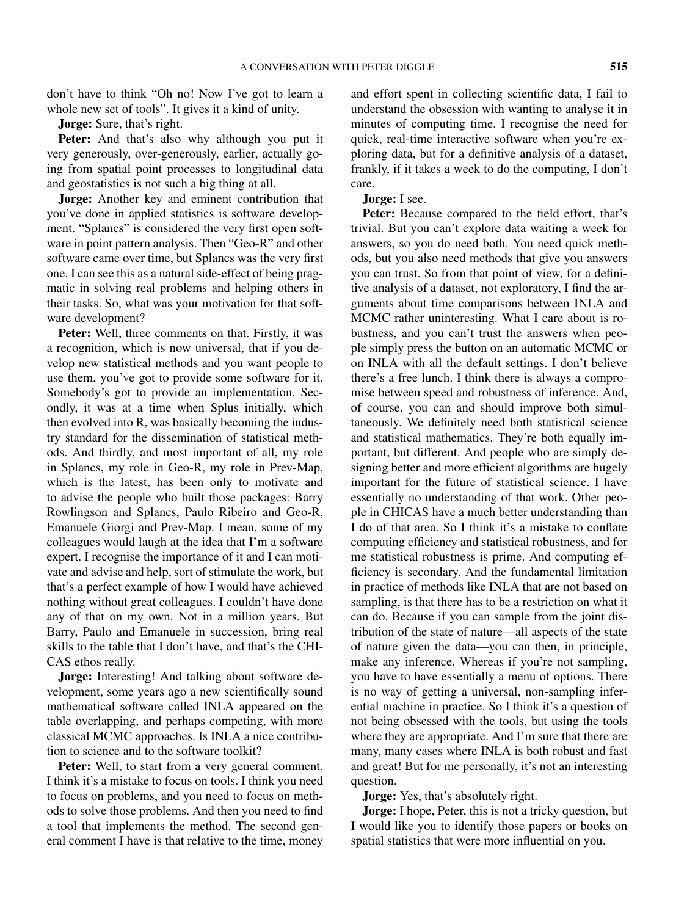don't have to think "Oh no! Now I've got to learn a whole new set of tools". It gives it a kind of unity.

**Jorge:** Sure, that's right.

**Peter:** And that's also why although you put it very generously, over-generously, earlier, actually going from spatial point processes to longitudinal data and geostatistics is not such a big thing at all.

**Jorge:** Another key and eminent contribution that you've done in applied statistics is software development. "Splancs" is considered the very first open software in point pattern analysis. Then "Geo-R" and other software came over time, but Splancs was the very first one. I can see this as a natural side-effect of being pragmatic in solving real problems and helping others in their tasks. So, what was your motivation for that software development?

**Peter:** Well, three comments on that. Firstly, it was a recognition, which is now universal, that if you develop new statistical methods and you want people to use them, you've got to provide some software for it. Somebody's got to provide an implementation. Secondly, it was at a time when Splus initially, which then evolved into R, was basically becoming the industry standard for the dissemination of statistical methods. And thirdly, and most important of all, my role in Splancs, my role in Geo-R, my role in Prev-Map, which is the latest, has been only to motivate and to advise the people who built those packages: Barry Rowlingson and Splancs, Paulo Ribeiro and Geo-R, Emanuele Giorgi and Prev-Map. I mean, some of my colleagues would laugh at the idea that I'm a software expert. I recognise the importance of it and I can motivate and advise and help, sort of stimulate the work, but that's a perfect example of how I would have achieved nothing without great colleagues. I couldn't have done any of that on my own. Not in a million years. But Barry, Paulo and Emanuele in succession, bring real skills to the table that I don't have, and that's the CHI-CAS ethos really.

**Jorge:** Interesting! And talking about software development, some years ago a new scientifically sound mathematical software called INLA appeared on the table overlapping, and perhaps competing, with more classical MCMC approaches. Is INLA a nice contribution to science and to the software toolkit?

**Peter:** Well, to start from a very general comment, I think it's a mistake to focus on tools. I think you need to focus on problems, and you need to focus on methods to solve those problems. And then you need to find a tool that implements the method. The second general comment I have is that relative to the time, money

and effort spent in collecting scientific data, I fail to understand the obsession with wanting to analyse it in minutes of computing time. I recognise the need for quick, real-time interactive software when you're exploring data, but for a definitive analysis of a dataset, frankly, if it takes a week to do the computing, I don't care.

#### **Jorge:** I see.

**Peter:** Because compared to the field effort, that's trivial. But you can't explore data waiting a week for answers, so you do need both. You need quick methods, but you also need methods that give you answers you can trust. So from that point of view, for a definitive analysis of a dataset, not exploratory, I find the arguments about time comparisons between INLA and MCMC rather uninteresting. What I care about is robustness, and you can't trust the answers when people simply press the button on an automatic MCMC or on INLA with all the default settings. I don't believe there's a free lunch. I think there is always a compromise between speed and robustness of inference. And, of course, you can and should improve both simultaneously. We definitely need both statistical science and statistical mathematics. They're both equally important, but different. And people who are simply designing better and more efficient algorithms are hugely important for the future of statistical science. I have essentially no understanding of that work. Other people in CHICAS have a much better understanding than I do of that area. So I think it's a mistake to conflate computing efficiency and statistical robustness, and for me statistical robustness is prime. And computing efficiency is secondary. And the fundamental limitation in practice of methods like INLA that are not based on sampling, is that there has to be a restriction on what it can do. Because if you can sample from the joint distribution of the state of nature—all aspects of the state of nature given the data—you can then, in principle, make any inference. Whereas if you're not sampling, you have to have essentially a menu of options. There is no way of getting a universal, non-sampling inferential machine in practice. So I think it's a question of not being obsessed with the tools, but using the tools where they are appropriate. And I'm sure that there are many, many cases where INLA is both robust and fast and great! But for me personally, it's not an interesting question.

**Jorge:** Yes, that's absolutely right.

**Jorge:** I hope, Peter, this is not a tricky question, but I would like you to identify those papers or books on spatial statistics that were more influential on you.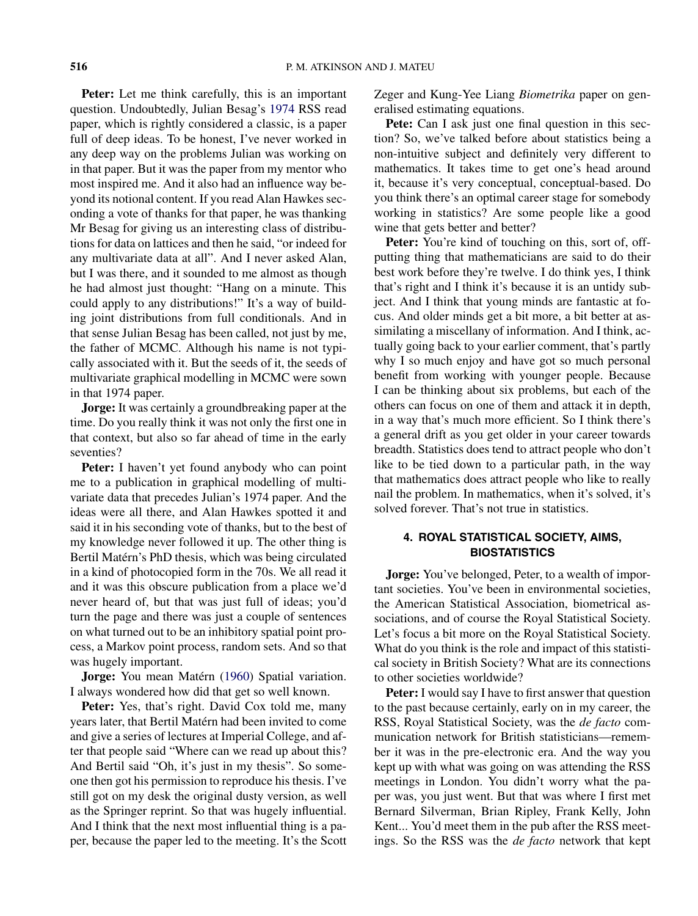**Peter:** Let me think carefully, this is an important question. Undoubtedly, Julian Besag's [1974](#page-17-0) RSS read paper, which is rightly considered a classic, is a paper full of deep ideas. To be honest, I've never worked in any deep way on the problems Julian was working on in that paper. But it was the paper from my mentor who most inspired me. And it also had an influence way beyond its notional content. If you read Alan Hawkes seconding a vote of thanks for that paper, he was thanking Mr Besag for giving us an interesting class of distributions for data on lattices and then he said, "or indeed for any multivariate data at all". And I never asked Alan, but I was there, and it sounded to me almost as though he had almost just thought: "Hang on a minute. This could apply to any distributions!" It's a way of building joint distributions from full conditionals. And in that sense Julian Besag has been called, not just by me, the father of MCMC. Although his name is not typically associated with it. But the seeds of it, the seeds of multivariate graphical modelling in MCMC were sown in that 1974 paper.

**Jorge:** It was certainly a groundbreaking paper at the time. Do you really think it was not only the first one in that context, but also so far ahead of time in the early seventies?

**Peter:** I haven't yet found anybody who can point me to a publication in graphical modelling of multivariate data that precedes Julian's 1974 paper. And the ideas were all there, and Alan Hawkes spotted it and said it in his seconding vote of thanks, but to the best of my knowledge never followed it up. The other thing is Bertil Matérn's PhD thesis, which was being circulated in a kind of photocopied form in the 70s. We all read it and it was this obscure publication from a place we'd never heard of, but that was just full of ideas; you'd turn the page and there was just a couple of sentences on what turned out to be an inhibitory spatial point process, a Markov point process, random sets. And so that was hugely important.

**Jorge:** You mean Matérn [\(1960\)](#page-17-0) Spatial variation. I always wondered how did that get so well known.

**Peter:** Yes, that's right. David Cox told me, many years later, that Bertil Matérn had been invited to come and give a series of lectures at Imperial College, and after that people said "Where can we read up about this? And Bertil said "Oh, it's just in my thesis". So someone then got his permission to reproduce his thesis. I've still got on my desk the original dusty version, as well as the Springer reprint. So that was hugely influential. And I think that the next most influential thing is a paper, because the paper led to the meeting. It's the Scott Zeger and Kung-Yee Liang *Biometrika* paper on generalised estimating equations.

**Pete:** Can I ask just one final question in this section? So, we've talked before about statistics being a non-intuitive subject and definitely very different to mathematics. It takes time to get one's head around it, because it's very conceptual, conceptual-based. Do you think there's an optimal career stage for somebody working in statistics? Are some people like a good wine that gets better and better?

Peter: You're kind of touching on this, sort of, offputting thing that mathematicians are said to do their best work before they're twelve. I do think yes, I think that's right and I think it's because it is an untidy subject. And I think that young minds are fantastic at focus. And older minds get a bit more, a bit better at assimilating a miscellany of information. And I think, actually going back to your earlier comment, that's partly why I so much enjoy and have got so much personal benefit from working with younger people. Because I can be thinking about six problems, but each of the others can focus on one of them and attack it in depth, in a way that's much more efficient. So I think there's a general drift as you get older in your career towards breadth. Statistics does tend to attract people who don't like to be tied down to a particular path, in the way that mathematics does attract people who like to really nail the problem. In mathematics, when it's solved, it's solved forever. That's not true in statistics.

## **4. ROYAL STATISTICAL SOCIETY, AIMS, BIOSTATISTICS**

**Jorge:** You've belonged, Peter, to a wealth of important societies. You've been in environmental societies, the American Statistical Association, biometrical associations, and of course the Royal Statistical Society. Let's focus a bit more on the Royal Statistical Society. What do you think is the role and impact of this statistical society in British Society? What are its connections to other societies worldwide?

**Peter:** I would say I have to first answer that question to the past because certainly, early on in my career, the RSS, Royal Statistical Society, was the *de facto* communication network for British statisticians—remember it was in the pre-electronic era. And the way you kept up with what was going on was attending the RSS meetings in London. You didn't worry what the paper was, you just went. But that was where I first met Bernard Silverman, Brian Ripley, Frank Kelly, John Kent... You'd meet them in the pub after the RSS meetings. So the RSS was the *de facto* network that kept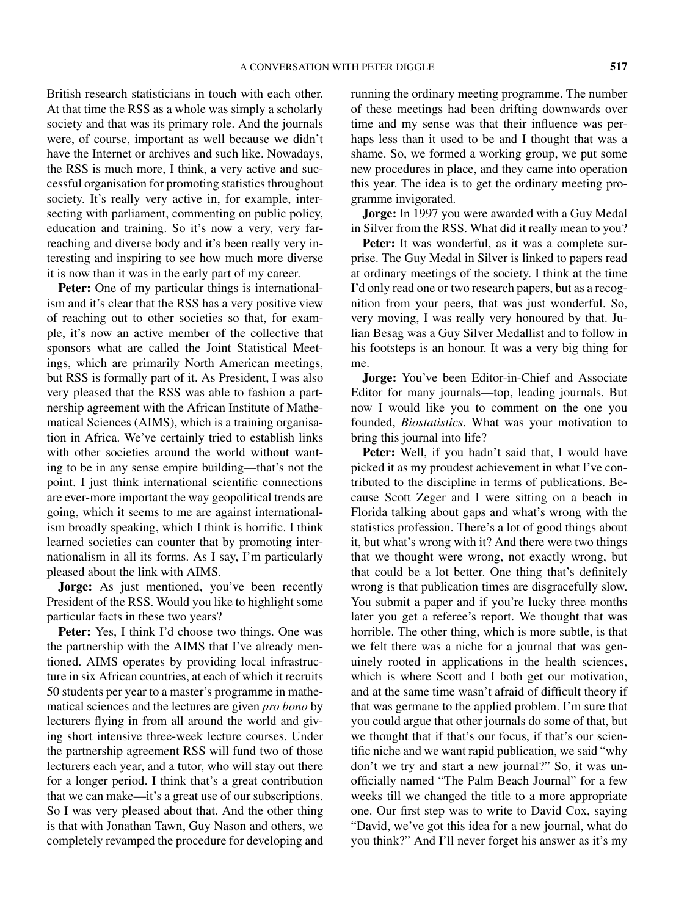British research statisticians in touch with each other. At that time the RSS as a whole was simply a scholarly society and that was its primary role. And the journals were, of course, important as well because we didn't have the Internet or archives and such like. Nowadays, the RSS is much more, I think, a very active and successful organisation for promoting statistics throughout society. It's really very active in, for example, intersecting with parliament, commenting on public policy, education and training. So it's now a very, very farreaching and diverse body and it's been really very interesting and inspiring to see how much more diverse it is now than it was in the early part of my career.

**Peter:** One of my particular things is internationalism and it's clear that the RSS has a very positive view of reaching out to other societies so that, for example, it's now an active member of the collective that sponsors what are called the Joint Statistical Meetings, which are primarily North American meetings, but RSS is formally part of it. As President, I was also very pleased that the RSS was able to fashion a partnership agreement with the African Institute of Mathematical Sciences (AIMS), which is a training organisation in Africa. We've certainly tried to establish links with other societies around the world without wanting to be in any sense empire building—that's not the point. I just think international scientific connections are ever-more important the way geopolitical trends are going, which it seems to me are against internationalism broadly speaking, which I think is horrific. I think learned societies can counter that by promoting internationalism in all its forms. As I say, I'm particularly pleased about the link with AIMS.

**Jorge:** As just mentioned, you've been recently President of the RSS. Would you like to highlight some particular facts in these two years?

**Peter:** Yes, I think I'd choose two things. One was the partnership with the AIMS that I've already mentioned. AIMS operates by providing local infrastructure in six African countries, at each of which it recruits 50 students per year to a master's programme in mathematical sciences and the lectures are given *pro bono* by lecturers flying in from all around the world and giving short intensive three-week lecture courses. Under the partnership agreement RSS will fund two of those lecturers each year, and a tutor, who will stay out there for a longer period. I think that's a great contribution that we can make—it's a great use of our subscriptions. So I was very pleased about that. And the other thing is that with Jonathan Tawn, Guy Nason and others, we completely revamped the procedure for developing and running the ordinary meeting programme. The number of these meetings had been drifting downwards over time and my sense was that their influence was perhaps less than it used to be and I thought that was a shame. So, we formed a working group, we put some new procedures in place, and they came into operation this year. The idea is to get the ordinary meeting programme invigorated.

**Jorge:** In 1997 you were awarded with a Guy Medal in Silver from the RSS. What did it really mean to you?

**Peter:** It was wonderful, as it was a complete surprise. The Guy Medal in Silver is linked to papers read at ordinary meetings of the society. I think at the time I'd only read one or two research papers, but as a recognition from your peers, that was just wonderful. So, very moving, I was really very honoured by that. Julian Besag was a Guy Silver Medallist and to follow in his footsteps is an honour. It was a very big thing for me.

**Jorge:** You've been Editor-in-Chief and Associate Editor for many journals—top, leading journals. But now I would like you to comment on the one you founded, *Biostatistics*. What was your motivation to bring this journal into life?

**Peter:** Well, if you hadn't said that, I would have picked it as my proudest achievement in what I've contributed to the discipline in terms of publications. Because Scott Zeger and I were sitting on a beach in Florida talking about gaps and what's wrong with the statistics profession. There's a lot of good things about it, but what's wrong with it? And there were two things that we thought were wrong, not exactly wrong, but that could be a lot better. One thing that's definitely wrong is that publication times are disgracefully slow. You submit a paper and if you're lucky three months later you get a referee's report. We thought that was horrible. The other thing, which is more subtle, is that we felt there was a niche for a journal that was genuinely rooted in applications in the health sciences, which is where Scott and I both get our motivation, and at the same time wasn't afraid of difficult theory if that was germane to the applied problem. I'm sure that you could argue that other journals do some of that, but we thought that if that's our focus, if that's our scientific niche and we want rapid publication, we said "why don't we try and start a new journal?" So, it was unofficially named "The Palm Beach Journal" for a few weeks till we changed the title to a more appropriate one. Our first step was to write to David Cox, saying "David, we've got this idea for a new journal, what do you think?" And I'll never forget his answer as it's my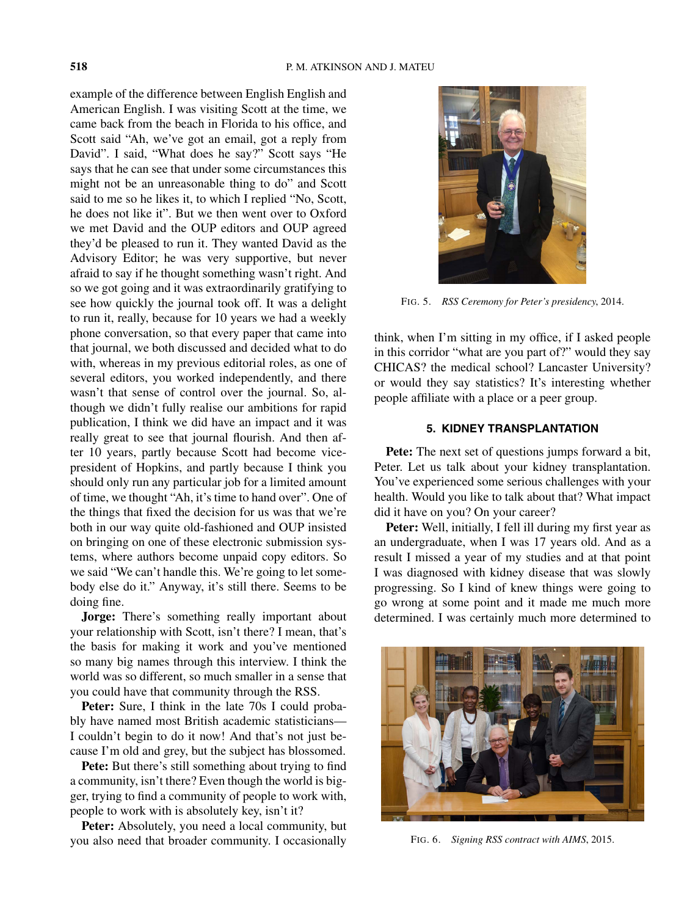example of the difference between English English and American English. I was visiting Scott at the time, we came back from the beach in Florida to his office, and Scott said "Ah, we've got an email, got a reply from David". I said, "What does he say?" Scott says "He says that he can see that under some circumstances this might not be an unreasonable thing to do" and Scott said to me so he likes it, to which I replied "No, Scott, he does not like it". But we then went over to Oxford we met David and the OUP editors and OUP agreed they'd be pleased to run it. They wanted David as the Advisory Editor; he was very supportive, but never afraid to say if he thought something wasn't right. And so we got going and it was extraordinarily gratifying to see how quickly the journal took off. It was a delight to run it, really, because for 10 years we had a weekly phone conversation, so that every paper that came into that journal, we both discussed and decided what to do with, whereas in my previous editorial roles, as one of several editors, you worked independently, and there wasn't that sense of control over the journal. So, although we didn't fully realise our ambitions for rapid publication, I think we did have an impact and it was really great to see that journal flourish. And then after 10 years, partly because Scott had become vicepresident of Hopkins, and partly because I think you should only run any particular job for a limited amount of time, we thought "Ah, it's time to hand over". One of the things that fixed the decision for us was that we're both in our way quite old-fashioned and OUP insisted on bringing on one of these electronic submission systems, where authors become unpaid copy editors. So we said "We can't handle this. We're going to let somebody else do it." Anyway, it's still there. Seems to be doing fine.

**Jorge:** There's something really important about your relationship with Scott, isn't there? I mean, that's the basis for making it work and you've mentioned so many big names through this interview. I think the world was so different, so much smaller in a sense that you could have that community through the RSS.

**Peter:** Sure, I think in the late 70s I could probably have named most British academic statisticians— I couldn't begin to do it now! And that's not just because I'm old and grey, but the subject has blossomed.

**Pete:** But there's still something about trying to find a community, isn't there? Even though the world is bigger, trying to find a community of people to work with, people to work with is absolutely key, isn't it?

Peter: Absolutely, you need a local community, but you also need that broader community. I occasionally



FIG. 5. *RSS Ceremony for Peter's presidency*, 2014.

think, when I'm sitting in my office, if I asked people in this corridor "what are you part of?" would they say CHICAS? the medical school? Lancaster University? or would they say statistics? It's interesting whether people affiliate with a place or a peer group.

## **5. KIDNEY TRANSPLANTATION**

**Pete:** The next set of questions jumps forward a bit, Peter. Let us talk about your kidney transplantation. You've experienced some serious challenges with your health. Would you like to talk about that? What impact did it have on you? On your career?

**Peter:** Well, initially, I fell ill during my first year as an undergraduate, when I was 17 years old. And as a result I missed a year of my studies and at that point I was diagnosed with kidney disease that was slowly progressing. So I kind of knew things were going to go wrong at some point and it made me much more determined. I was certainly much more determined to



FIG. 6. *Signing RSS contract with AIMS*, 2015.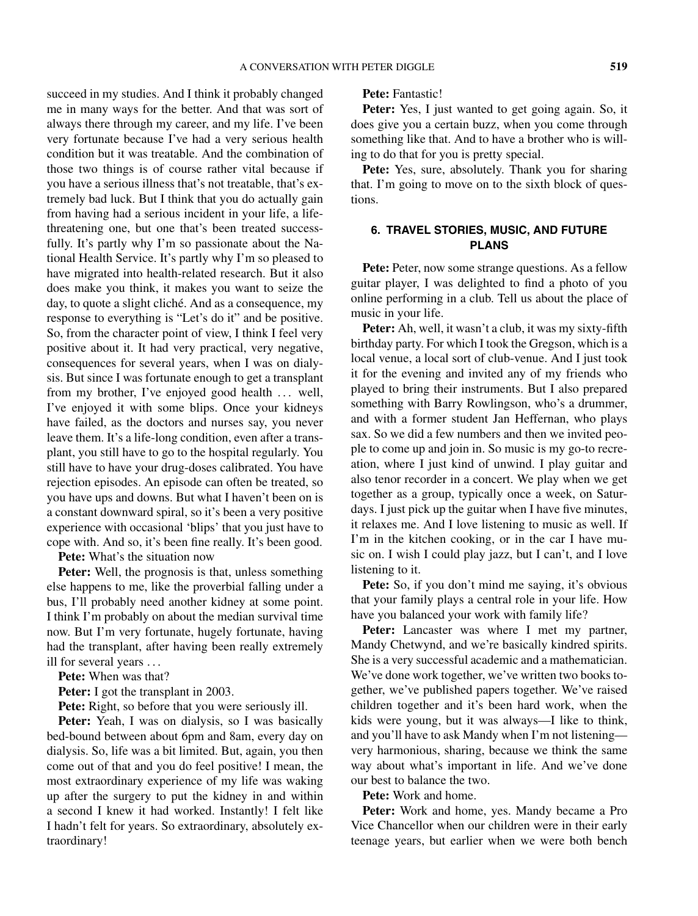succeed in my studies. And I think it probably changed me in many ways for the better. And that was sort of always there through my career, and my life. I've been very fortunate because I've had a very serious health condition but it was treatable. And the combination of those two things is of course rather vital because if you have a serious illness that's not treatable, that's extremely bad luck. But I think that you do actually gain from having had a serious incident in your life, a lifethreatening one, but one that's been treated successfully. It's partly why I'm so passionate about the National Health Service. It's partly why I'm so pleased to have migrated into health-related research. But it also does make you think, it makes you want to seize the day, to quote a slight cliché. And as a consequence, my response to everything is "Let's do it" and be positive. So, from the character point of view, I think I feel very positive about it. It had very practical, very negative, consequences for several years, when I was on dialysis. But since I was fortunate enough to get a transplant from my brother, I've enjoyed good health *...* well, I've enjoyed it with some blips. Once your kidneys have failed, as the doctors and nurses say, you never leave them. It's a life-long condition, even after a transplant, you still have to go to the hospital regularly. You still have to have your drug-doses calibrated. You have rejection episodes. An episode can often be treated, so you have ups and downs. But what I haven't been on is a constant downward spiral, so it's been a very positive experience with occasional 'blips' that you just have to cope with. And so, it's been fine really. It's been good.

**Pete:** What's the situation now

Peter: Well, the prognosis is that, unless something else happens to me, like the proverbial falling under a bus, I'll probably need another kidney at some point. I think I'm probably on about the median survival time now. But I'm very fortunate, hugely fortunate, having had the transplant, after having been really extremely ill for several years *...*

**Pete:** When was that?

**Peter:** I got the transplant in 2003.

**Pete:** Right, so before that you were seriously ill.

Peter: Yeah, I was on dialysis, so I was basically bed-bound between about 6pm and 8am, every day on dialysis. So, life was a bit limited. But, again, you then come out of that and you do feel positive! I mean, the most extraordinary experience of my life was waking up after the surgery to put the kidney in and within a second I knew it had worked. Instantly! I felt like I hadn't felt for years. So extraordinary, absolutely extraordinary!

**Pete:** Fantastic!

Peter: Yes, I just wanted to get going again. So, it does give you a certain buzz, when you come through something like that. And to have a brother who is willing to do that for you is pretty special.

**Pete:** Yes, sure, absolutely. Thank you for sharing that. I'm going to move on to the sixth block of questions.

# **6. TRAVEL STORIES, MUSIC, AND FUTURE PLANS**

**Pete:** Peter, now some strange questions. As a fellow guitar player, I was delighted to find a photo of you online performing in a club. Tell us about the place of music in your life.

**Peter:** Ah, well, it wasn't a club, it was my sixty-fifth birthday party. For which I took the Gregson, which is a local venue, a local sort of club-venue. And I just took it for the evening and invited any of my friends who played to bring their instruments. But I also prepared something with Barry Rowlingson, who's a drummer, and with a former student Jan Heffernan, who plays sax. So we did a few numbers and then we invited people to come up and join in. So music is my go-to recreation, where I just kind of unwind. I play guitar and also tenor recorder in a concert. We play when we get together as a group, typically once a week, on Saturdays. I just pick up the guitar when I have five minutes, it relaxes me. And I love listening to music as well. If I'm in the kitchen cooking, or in the car I have music on. I wish I could play jazz, but I can't, and I love listening to it.

**Pete:** So, if you don't mind me saying, it's obvious that your family plays a central role in your life. How have you balanced your work with family life?

**Peter:** Lancaster was where I met my partner, Mandy Chetwynd, and we're basically kindred spirits. She is a very successful academic and a mathematician. We've done work together, we've written two books together, we've published papers together. We've raised children together and it's been hard work, when the kids were young, but it was always—I like to think, and you'll have to ask Mandy when I'm not listening very harmonious, sharing, because we think the same way about what's important in life. And we've done our best to balance the two.

**Pete:** Work and home.

**Peter:** Work and home, yes. Mandy became a Pro Vice Chancellor when our children were in their early teenage years, but earlier when we were both bench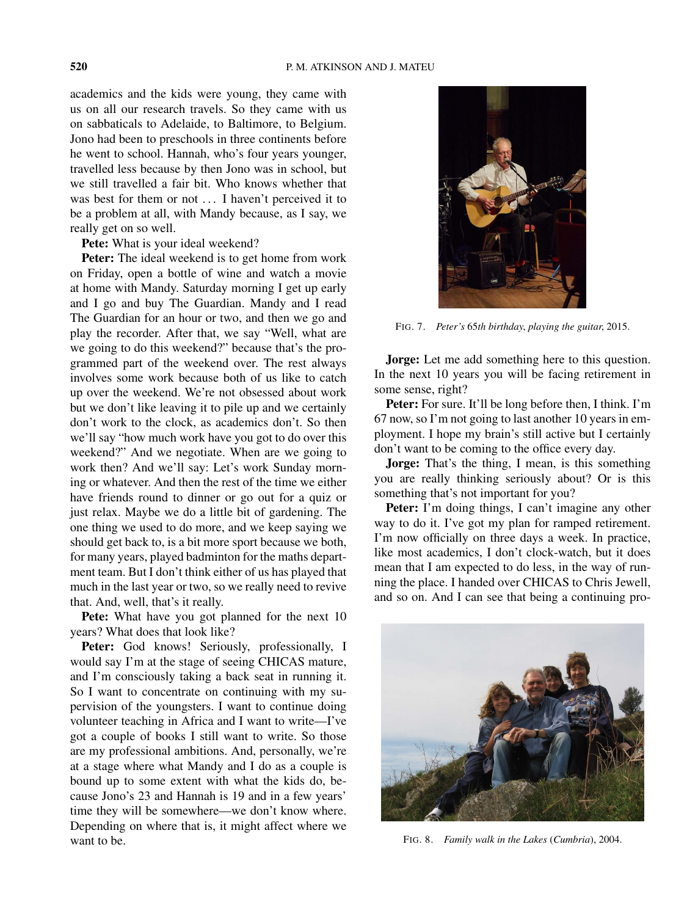academics and the kids were young, they came with us on all our research travels. So they came with us on sabbaticals to Adelaide, to Baltimore, to Belgium. Jono had been to preschools in three continents before he went to school. Hannah, who's four years younger, travelled less because by then Jono was in school, but we still travelled a fair bit. Who knows whether that was best for them or not *...* I haven't perceived it to be a problem at all, with Mandy because, as I say, we really get on so well.

**Pete:** What is your ideal weekend?

**Peter:** The ideal weekend is to get home from work on Friday, open a bottle of wine and watch a movie at home with Mandy. Saturday morning I get up early and I go and buy The Guardian. Mandy and I read The Guardian for an hour or two, and then we go and play the recorder. After that, we say "Well, what are we going to do this weekend?" because that's the programmed part of the weekend over. The rest always involves some work because both of us like to catch up over the weekend. We're not obsessed about work but we don't like leaving it to pile up and we certainly don't work to the clock, as academics don't. So then we'll say "how much work have you got to do over this weekend?" And we negotiate. When are we going to work then? And we'll say: Let's work Sunday morning or whatever. And then the rest of the time we either have friends round to dinner or go out for a quiz or just relax. Maybe we do a little bit of gardening. The one thing we used to do more, and we keep saying we should get back to, is a bit more sport because we both, for many years, played badminton for the maths department team. But I don't think either of us has played that much in the last year or two, so we really need to revive that. And, well, that's it really.

**Pete:** What have you got planned for the next 10 years? What does that look like?

**Peter:** God knows! Seriously, professionally, I would say I'm at the stage of seeing CHICAS mature, and I'm consciously taking a back seat in running it. So I want to concentrate on continuing with my supervision of the youngsters. I want to continue doing volunteer teaching in Africa and I want to write—I've got a couple of books I still want to write. So those are my professional ambitions. And, personally, we're at a stage where what Mandy and I do as a couple is bound up to some extent with what the kids do, because Jono's 23 and Hannah is 19 and in a few years' time they will be somewhere—we don't know where. Depending on where that is, it might affect where we want to be.



FIG. 7. *Peter's* 65*th birthday*, *playing the guitar*, 2015.

**Jorge:** Let me add something here to this question. In the next 10 years you will be facing retirement in some sense, right?

**Peter:** For sure. It'll be long before then, I think. I'm 67 now, so I'm not going to last another 10 years in employment. I hope my brain's still active but I certainly don't want to be coming to the office every day.

**Jorge:** That's the thing, I mean, is this something you are really thinking seriously about? Or is this something that's not important for you?

Peter: I'm doing things, I can't imagine any other way to do it. I've got my plan for ramped retirement. I'm now officially on three days a week. In practice, like most academics, I don't clock-watch, but it does mean that I am expected to do less, in the way of running the place. I handed over CHICAS to Chris Jewell, and so on. And I can see that being a continuing pro-



FIG. 8. *Family walk in the Lakes* (*Cumbria*), 2004.